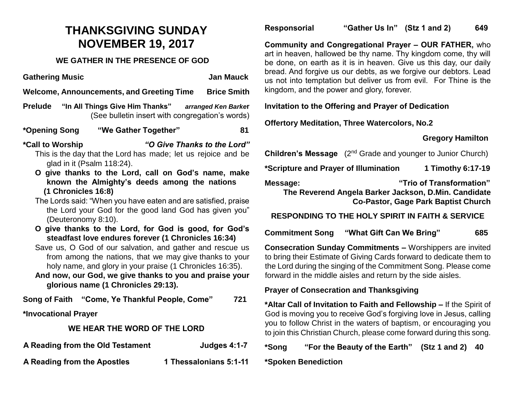# **THANKSGIVING SUNDAY NOVEMBER 19, 2017**

#### **WE GATHER IN THE PRESENCE OF GOD**

**Gathering Music Community Community Community Community Community Community Community Community Community Community Community Community Community Community Community Community Community Community Community Community Commu** 

**Welcome, Announcements, and Greeting Time Brice Smith**

- **Prelude "In All Things Give Him Thanks"** *arranged Ken Barke***r** (See bulletin insert with congregation's words)
- **\*Opening Song "We Gather Together" 81**

**\*Call to Worship** *"O Give Thanks to the Lord"*

- This is the day that the Lord has made; let us rejoice and be glad in it (Psalm 118:24).
- **O give thanks to the Lord, call on God's name, make known the Almighty's deeds among the nations (1 Chronicles 16:8)**
- The Lords said: "When you have eaten and are satisfied, praise the Lord your God for the good land God has given you" (Deuteronomy 8:10).
- **O give thanks to the Lord, for God is good, for God's steadfast love endures forever (1 Chronicles 16:34)**
- Save us, O God of our salvation, and gather and rescue us from among the nations, that we may give thanks to your holy name, and glory in your praise (1 Chronicles 16:35).
- **And now, our God, we give thanks to you and praise your glorious name (1 Chronicles 29:13).**

**Song of Faith "Come, Ye Thankful People, Come" 721**

**\*Invocational Prayer** 

#### **WE HEAR THE WORD OF THE LORD**

**A Reading from the Old Testament Judges 4:1-7**

**A Reading from the Apostles 1 Thessalonians 5:1-11**

#### **Responsorial "Gather Us In" (Stz 1 and 2) 649**

**Community and Congregational Prayer – OUR FATHER,** who art in heaven, hallowed be thy name. Thy kingdom come, thy will be done, on earth as it is in heaven. Give us this day, our daily bread. And forgive us our debts, as we forgive our debtors. Lead us not into temptation but deliver us from evil. For Thine is the kingdom, and the power and glory, forever.

#### **Invitation to the Offering and Prayer of Dedication**

**Offertory Meditation, Three Watercolors, No.2** 

## **Gregory Hamilton**

**Children's Message** (2<sup>nd</sup> Grade and younger to Junior Church)

**\*Scripture and Prayer of Illumination 1 Timothy 6:17-19**

**Message: "Trio of Transformation" The Reverend Angela Barker Jackson, D.Min. Candidate Co-Pastor, Gage Park Baptist Church**

## **RESPONDING TO THE HOLY SPIRIT IN FAITH & SERVICE**

**Commitment Song "What Gift Can We Bring" 685**

**Consecration Sunday Commitments –** Worshippers are invited to bring their Estimate of Giving Cards forward to dedicate them to the Lord during the singing of the Commitment Song. Please come forward in the middle aisles and return by the side aisles.

#### **Prayer of Consecration and Thanksgiving**

**\*Altar Call of Invitation to Faith and Fellowship –** If the Spirit of God is moving you to receive God's forgiving love in Jesus, calling you to follow Christ in the waters of baptism, or encouraging you to join this Christian Church, please come forward during this song.

**\*Song "For the Beauty of the Earth" (Stz 1 and 2) 40**

**\*Spoken Benediction**